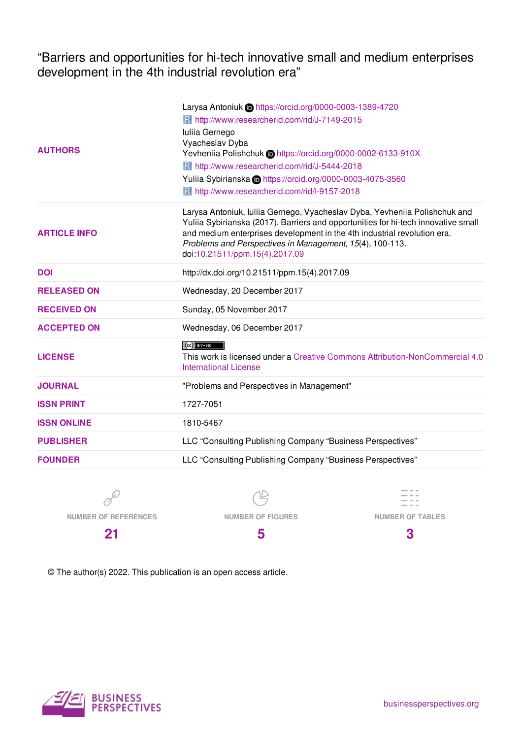"Barriers and opportunities for hi-tech innovative small and medium enterprises development in the 4th industrial revolution era"

|                     | Larysa Antoniuk in https://orcid.org/0000-0003-1389-4720                                                                                                                                                                                                                                                                                   |  |
|---------------------|--------------------------------------------------------------------------------------------------------------------------------------------------------------------------------------------------------------------------------------------------------------------------------------------------------------------------------------------|--|
| <b>AUTHORS</b>      | R http://www.researcherid.com/rid/J-7149-2015                                                                                                                                                                                                                                                                                              |  |
|                     | Iuliia Gernego                                                                                                                                                                                                                                                                                                                             |  |
|                     | Vyacheslav Dyba                                                                                                                                                                                                                                                                                                                            |  |
|                     | Yevheniia Polishchuk Dhttps://orcid.org/0000-0002-6133-910X                                                                                                                                                                                                                                                                                |  |
|                     | R http://www.researcherid.com/rid/J-5444-2018                                                                                                                                                                                                                                                                                              |  |
|                     | Yuliia Sybirianska Dhttps://orcid.org/0000-0003-4075-3560                                                                                                                                                                                                                                                                                  |  |
|                     | R http://www.researcherid.com/rid/l-9157-2018                                                                                                                                                                                                                                                                                              |  |
| <b>ARTICLE INFO</b> | Larysa Antoniuk, Iuliia Gernego, Vyacheslav Dyba, Yevheniia Polishchuk and<br>Yuliia Sybirianska (2017). Barriers and opportunities for hi-tech innovative small<br>and medium enterprises development in the 4th industrial revolution era.<br>Problems and Perspectives in Management, 15(4), 100-113.<br>doi:10.21511/ppm.15(4).2017.09 |  |
| <b>DOI</b>          | http://dx.doi.org/10.21511/ppm.15(4).2017.09                                                                                                                                                                                                                                                                                               |  |
| <b>RELEASED ON</b>  | Wednesday, 20 December 2017                                                                                                                                                                                                                                                                                                                |  |
| <b>RECEIVED ON</b>  | Sunday, 05 November 2017                                                                                                                                                                                                                                                                                                                   |  |
| <b>ACCEPTED ON</b>  | Wednesday, 06 December 2017                                                                                                                                                                                                                                                                                                                |  |
|                     | $(Cc)$ BY-NO                                                                                                                                                                                                                                                                                                                               |  |
| <b>LICENSE</b>      | This work is licensed under a Creative Commons Attribution-NonCommercial 4.0<br><b>International License</b>                                                                                                                                                                                                                               |  |
| <b>JOURNAL</b>      | "Problems and Perspectives in Management"                                                                                                                                                                                                                                                                                                  |  |
| <b>ISSN PRINT</b>   | 1727-7051                                                                                                                                                                                                                                                                                                                                  |  |
| <b>ISSN ONLINE</b>  | 1810-5467                                                                                                                                                                                                                                                                                                                                  |  |
| <b>PUBLISHER</b>    | LLC "Consulting Publishing Company "Business Perspectives"                                                                                                                                                                                                                                                                                 |  |
| <b>FOUNDER</b>      | LLC "Consulting Publishing Company "Business Perspectives"                                                                                                                                                                                                                                                                                 |  |
|                     |                                                                                                                                                                                                                                                                                                                                            |  |
|                     |                                                                                                                                                                                                                                                                                                                                            |  |
|                     |                                                                                                                                                                                                                                                                                                                                            |  |

**NUMBER OF REFERENCES 21 NUMBER OF FIGURES 5 NUMBER OF TABLES 3**

© The author(s) 2022. This publication is an open access article.

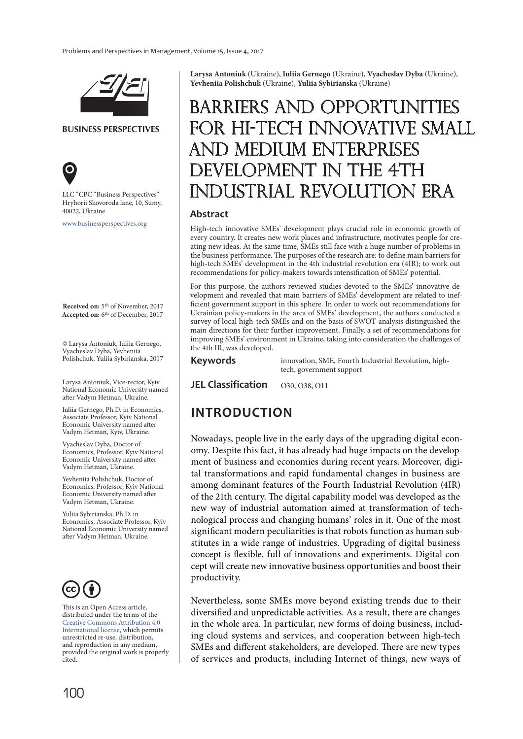

**BUSINESS PERSPECTIVES**



LLC "СPС "Business Perspectives" Hryhorii Skovoroda lane, 10, Sumy, 40022, Ukraine

www.businessperspectives.org

**Received on:** 5th of November, 2017 **Accepted on:** 6th of December, 2017

© Larysa Antoniuk, Iuliia Gernego, Vyacheslav Dyba, Yevheniia Polishchuk, Yuliia Sybirianska, 2017

Larysa Antoniuk, Vice-rector, Kyiv National Economic University named after Vadym Hetman, Ukraine.

Iuliia Gernego, Ph.D. in Economics, Associate Professor, Kyiv National Economic University named after Vadym Hetman, Kyiv, Ukraine.

Vyacheslav Dyba, Doctor of Economics, Professor, Kyiv National Economic University named after Vadym Hetman, Ukraine.

Yevheniia Polishchuk, Doctor of Economics, Professor, Kyiv National Economic University named after Vadym Hetman, Ukraine.

Yuliia Sybirianska, Ph.D. in Economics, Associate Professor, Kyiv National Economic University named after Vadym Hetman, Ukraine.



This is an Open Access article, distributed under the terms of the Creative Commons Attribution 4.0 International license, which permits unrestricted re-use, distribution, and reproduction in any medium, provided the original work is properly cited.

**Larysa Antoniuk** (Ukraine), **Iuliia Gernego** (Ukraine), **Vyacheslav Dyba** (Ukraine), **Yevheniia Polishchuk** (Ukraine), **Yuliia Sybirianska** (Ukraine)

# BARRIERS AND OPPORTUNITIES FOR HI-TECH INNOVATIVE SMALL AND MEDIUM ENTERPRISES VELOPMENT IN THE 4TH DUSTRIAL REVOLUTION ERA

#### **Abstract**

High-tech innovative SMEs' development plays crucial role in economic growth of every country. It creates new work places and infrastructure, motivates people for creating new ideas. At the same time, SMEs still face with a huge number of problems in the business performance. The purposes of the research are: to define main barriers for high-tech SMEs' development in the 4th industrial revolution era (4IR); to work out recommendations for policy-makers towards intensification of SMEs' potential.

For this purpose, the authors reviewed studies devoted to the SMEs' innovative development and revealed that main barriers of SMEs' development are related to inefficient government support in this sphere. In order to work out recommendations for Ukrainian policy-makers in the area of SMEs' development, the authors conducted a survey of local high-tech SMEs and on the basis of SWOT-analysis distinguished the main directions for their further improvement. Finally, a set of recommendations for improving SMEs' environment in Ukraine, taking into consideration the challenges of the 4th IR, was developed.

**Keywords**

innovation, SME, Fourth Industrial Revolution, hightech, government support

**JEL Classification** 030, 038, 011

### **INTRODUCTION**

Nowadays, people live in the early days of the upgrading digital economy. Despite this fact, it has already had huge impacts on the development of business and economies during recent years. Moreover, digital transformations and rapid fundamental changes in business are among dominant features of the Fourth Industrial Revolution (4IR) of the 21th century. The digital capability model was developed as the new way of industrial automation aimed at transformation of technological process and changing humans' roles in it. One of the most significant modern peculiarities is that robots function as human substitutes in a wide range of industries. Upgrading of digital business concept is flexible, full of innovations and experiments. Digital concept will create new innovative business opportunities and boost their productivity.

Nevertheless, some SMEs move beyond existing trends due to their diversified and unpredictable activities. As a result, there are changes in the whole area. In particular, new forms of doing business, including cloud systems and services, and cooperation between high-tech SMEs and different stakeholders, are developed. There are new types of services and products, including Internet of things, new ways of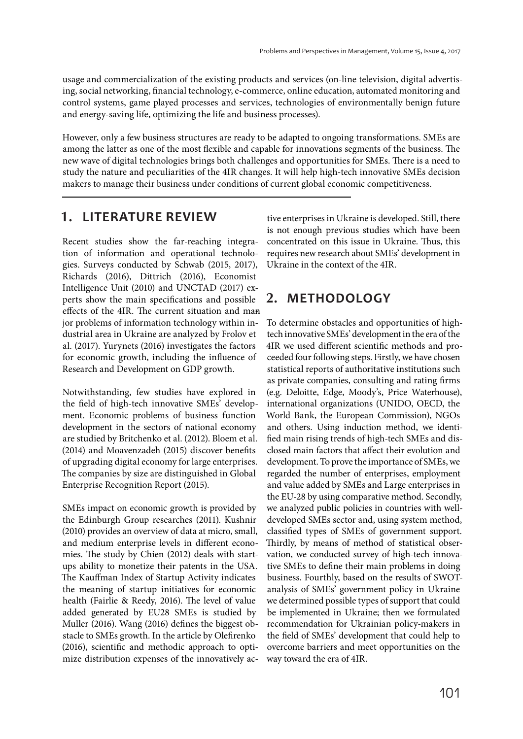usage and commercialization of the existing products and services (on-line television, digital advertising, social networking, financial technology, e-commerce, online education, automated monitoring and control systems, game played processes and services, technologies of environmentally benign future and energy-saving life, optimizing the life and business processes).

However, only a few business structures are ready to be adapted to ongoing transformations. SMEs are among the latter as one of the most flexible and capable for innovations segments of the business. The new wave of digital technologies brings both challenges and opportunities for SMEs. There is a need to study the nature and peculiarities of the 4IR changes. It will help high-tech innovative SMEs decision makers to manage their business under conditions of current global economic competitiveness.

### **1. LITERATURE REVIEW**

Recent studies show the far-reaching integration of information and operational technologies. Surveys conducted by Schwab (2015, 2017), Richards (2016), Dittrich (2016), Economist Intelligence Unit (2010) and UNCTAD (2017) experts show the main specifications and possible effects of the 4IR. The current situation and manjor problems of information technology within industrial area in Ukraine are analyzed by Frolov et al. (2017). Yurynets (2016) investigates the factors for economic growth, including the influence of Research and Development on GDP growth.

Notwithstanding, few studies have explored in the field of high-tech innovative SMEs' development. Economic problems of business function development in the sectors of national economy are studied by Britchenko et al. (2012). Bloem et al. (2014) and Moavenzadeh (2015) discover benefits of upgrading digital economy for large enterprises. The companies by size are distinguished in Global Enterprise Recognition Report (2015).

SMEs impact on economic growth is provided by the Edinburgh Group researches (2011). Kushnir (2010) provides an overview of data at micro, small, and medium enterprise levels in different economies. The study by Chien (2012) deals with startups ability to monetize their patents in the USA. The Kauffman Index of Startup Activity indicates the meaning of startup initiatives for economic health (Fairlie & Reedy, 2016). The level of value added generated by EU28 SMEs is studied by Muller (2016). Wang (2016) defines the biggest obstacle to SMEs growth. In the article by Olefirenko (2016), scientific and methodic approach to optimize distribution expenses of the innovatively active enterprises in Ukraine is developed. Still, there is not enough previous studies which have been concentrated on this issue in Ukraine. Thus, this requires new research about SMEs' development in Ukraine in the context of the 4IR.

# **2. METHODOLOGY**

To determine obstacles and opportunities of hightech innovative SMEs' development in the era of the 4IR we used different scientific methods and proceeded four following steps. Firstly, we have chosen statistical reports of authoritative institutions such as private companies, consulting and rating firms (e.g. Deloitte, Edge, Moody's, Price Waterhouse), international organizations (UNIDO, OECD, the World Bank, the European Commission), NGOs and others. Using induction method, we identified main rising trends of high-tech SMEs and disclosed main factors that affect their evolution and development. To prove the importance of SMEs, we regarded the number of enterprises, employment and value added by SMEs and Large enterprises in the EU-28 by using comparative method. Secondly, we analyzed public policies in countries with welldeveloped SMEs sector and, using system method, classified types of SMEs of government support. Thirdly, by means of method of statistical observation, we conducted survey of high-tech innovative SMEs to define their main problems in doing business. Fourthly, based on the results of SWOTanalysis of SMEs' government policy in Ukraine we determined possible types of support that could be implemented in Ukraine; then we formulated recommendation for Ukrainian policy-makers in the field of SMEs' development that could help to overcome barriers and meet opportunities on the way toward the era of 4IR.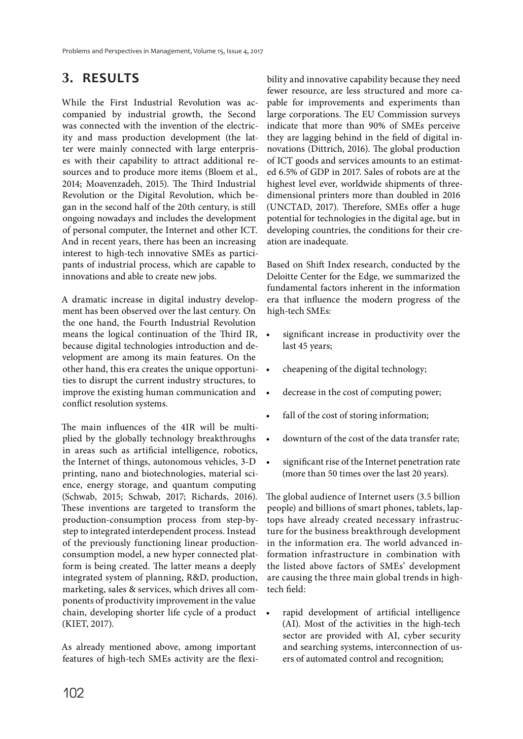## **3. RESULTS**

While the First Industrial Revolution was accompanied by industrial growth, the Second was connected with the invention of the electricity and mass production development (the latter were mainly connected with large enterprises with their capability to attract additional resources and to produce more items (Bloem et al., 2014; Moavenzadeh, 2015). The Third Industrial Revolution or the Digital Revolution, which began in the second half of the 20th century, is still ongoing nowadays and includes the development of personal computer, the Internet and other ICT. And in recent years, there has been an increasing interest to high-tech innovative SMEs as participants of industrial process, which are capable to innovations and able to create new jobs.

A dramatic increase in digital industry development has been observed over the last century. On the one hand, the Fourth Industrial Revolution means the logical continuation of the Third IR, because digital technologies introduction and development are among its main features. On the other hand, this era creates the unique opportunities to disrupt the current industry structures, to improve the existing human communication and conflict resolution systems.

The main influences of the 4IR will be multiplied by the globally technology breakthroughs in areas such as artificial intelligence, robotics, the Internet of things, autonomous vehicles, 3-D printing, nano and biotechnologies, material science, energy storage, and quantum computing (Schwab, 2015; Schwab, 2017; Richards, 2016). These inventions are targeted to transform the production-consumption process from step-bystep to integrated interdependent process. Instead of the previously functioning linear productionconsumption model, a new hyper connected platform is being created. The latter means a deeply integrated system of planning, R&D, production, marketing, sales & services, which drives all components of productivity improvement in the value chain, developing shorter life cycle of a product (KIET, 2017).

As already mentioned above, among important features of high-tech SMEs activity are the flexibility and innovative capability because they need fewer resource, are less structured and more capable for improvements and experiments than large corporations. The EU Commission surveys indicate that more than 90% of SMEs perceive they are lagging behind in the field of digital innovations (Dittrich, 2016). The global production of ICT goods and services amounts to an estimated 6.5% of GDP in 2017. Sales of robots are at the highest level ever, worldwide shipments of threedimensional printers more than doubled in 2016 (UNCTAD, 2017). Therefore, SMEs offer a huge potential for technologies in the digital age, but in developing countries, the conditions for their creation are inadequate.

Based on Shift Index research, conducted by the Deloitte Center for the Edge, we summarized the fundamental factors inherent in the information era that influence the modern progress of the high-tech SMEs:

- significant increase in productivity over the last 45 years;
- cheapening of the digital technology;
- decrease in the cost of computing power;
- fall of the cost of storing information;
- downturn of the cost of the data transfer rate;
- significant rise of the Internet penetration rate (more than 50 times over the last 20 years).

The global audience of Internet users (3.5 billion people) and billions of smart phones, tablets, laptops have already created necessary infrastructure for the business breakthrough development in the information era. The world advanced information infrastructure in combination with the listed above factors of SMEs' development are causing the three main global trends in hightech field:

• rapid development of artificial intelligence (AI). Most of the activities in the high-tech sector are provided with AI, cyber security and searching systems, interconnection of users of automated control and recognition;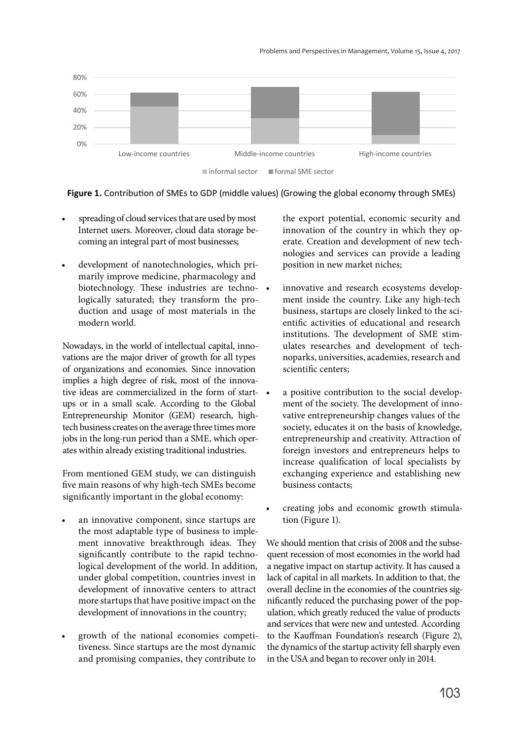

**Figure 1.** Contribution of SMEs to GDP (middle values) (Growing the global economy through SMEs)

- spreading of cloud services that are used by most Internet users. Moreover, cloud data storage becoming an integral part of most businesses;
- development of nanotechnologies, which primarily improve medicine, pharmacology and biotechnology. These industries are technologically saturated; they transform the production and usage of most materials in the modern world.

Nowadays, in the world of intellectual capital, innovations are the major driver of growth for all types of organizations and economies. Since innovation implies a high degree of risk, most of the innovative ideas are commercialized in the form of startups or in a small scale. According to the Global Entrepreneurship Monitor (GEM) research, hightech business creates on the average three times more jobs in the long-run period than a SME, which operates within already existing traditional industries.

From mentioned GEM study, we can distinguish five main reasons of why high-tech SMEs become significantly important in the global economy:

- an innovative component, since startups are the most adaptable type of business to implement innovative breakthrough ideas. They significantly contribute to the rapid technological development of the world. In addition, under global competition, countries invest in development of innovative centers to attract more startups that have positive impact on the development of innovations in the country;
- growth of the national economies competitiveness. Since startups are the most dynamic and promising companies, they contribute to

the export potential, economic security and innovation of the country in which they operate. Creation and development of new technologies and services can provide a leading position in new market niches;

- innovative and research ecosystems development inside the country. Like any high-tech business, startups are closely linked to the scientific activities of educational and research institutions. The development of SME stimulates researches and development of technoparks, universities, academies, research and scientific centers;
- a positive contribution to the social development of the society. The development of innovative entrepreneurship changes values of the society, educates it on the basis of knowledge, entrepreneurship and creativity. Attraction of foreign investors and entrepreneurs helps to increase qualification of local specialists by exchanging experience and establishing new business contacts;
- creating jobs and economic growth stimulation (Figure 1).

We should mention that crisis of 2008 and the subsequent recession of most economies in the world had a negative impact on startup activity. It has caused a lack of capital in all markets. In addition to that, the overall decline in the economies of the countries significantly reduced the purchasing power of the population, which greatly reduced the value of products and services that were new and untested. According to the Kauffman Foundation's research (Figure 2), the dynamics of the startup activity fell sharply even in the USA and began to recover only in 2014.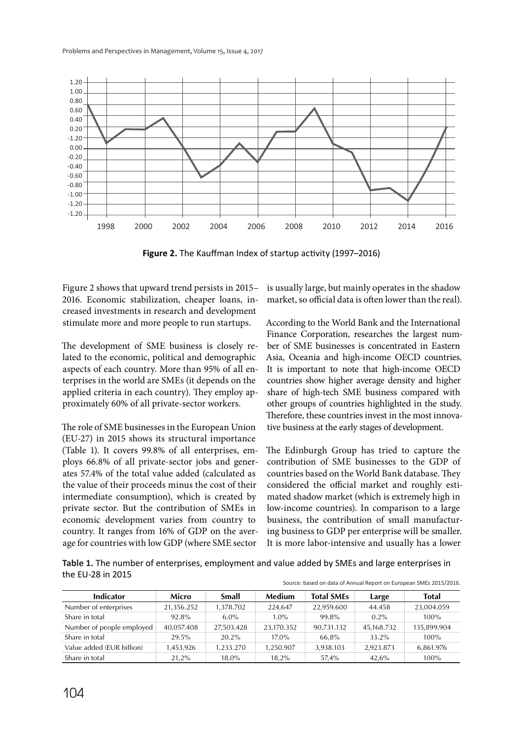

**Figure 2.** The Kauffman Index of startup activity (1997–2016)

Figure 2 shows that upward trend persists in 2015– 2016. Economic stabilization, cheaper loans, increased investments in research and development stimulate more and more people to run startups.

The development of SME business is closely related to the economic, political and demographic aspects of each country. More than 95% of all enterprises in the world are SMEs (it depends on the applied criteria in each country). They employ approximately 60% of all private-sector workers.

The role of SME businesses in the European Union (EU-27) in 2015 shows its structural importance (Table 1). It covers 99.8% of all enterprises, employs 66.8% of all private-sector jobs and generates 57.4% of the total value added (calculated as the value of their proceeds minus the cost of their intermediate consumption), which is created by private sector. But the contribution of SMEs in economic development varies from country to country. It ranges from 16% of GDP on the average for countries with low GDP (where SME sector

is usually large, but mainly operates in the shadow market, so official data is often lower than the real).

According to the World Bank and the International Finance Corporation, researches the largest number of SME businesses is concentrated in Eastern Asia, Oceania and high-income OECD countries. It is important to note that high-income OECD countries show higher average density and higher share of high-tech SME business compared with other groups of countries highlighted in the study. Therefore, these countries invest in the most innovative business at the early stages of development.

The Edinburgh Group has tried to capture the contribution of SME businesses to the GDP of countries based on the World Bank database. They considered the official market and roughly estimated shadow market (which is extremely high in low-income countries). In comparison to a large business, the contribution of small manufacturing business to GDP per enterprise will be smaller. It is more labor-intensive and usually has a lower

**Table 1.** The number of enterprises, employment and value added by SMEs and large enterprises in the EU-28 in 2015 Source: based on data of Annual Report on European SMEs 2015/2016.

| Indicator                 | Micro      | Small      | Medium     | <b>Total SMEs</b> | Large      | <b>Total</b> |
|---------------------------|------------|------------|------------|-------------------|------------|--------------|
| Number of enterprises     | 21.356.252 | 1.378.702  | 224.647    | 22.959.600        | 44.458     | 23.004.059   |
| Share in total            | 92.8%      | $6.0\%$    | $1.0\%$    | 99.8%             | $0.2\%$    | $100\%$      |
| Number of people employed | 40.057.408 | 27.503.428 | 23.170.352 | 90.731.132        | 45.168.732 | 135.899.904  |
| Share in total            | 29.5%      | $20.2\%$   | $17.0\%$   | 66.8%             | 33.2%      | $100\%$      |
| Value added (EUR billion) | 1.453.926  | 1.233.270  | 1.250.907  | 3.938.103         | 2.923.873  | 6.861.976    |
| Share in total            | 21.2%      | 18.0%      | 18.2%      | 57.4%             | 42.6%      | 100%         |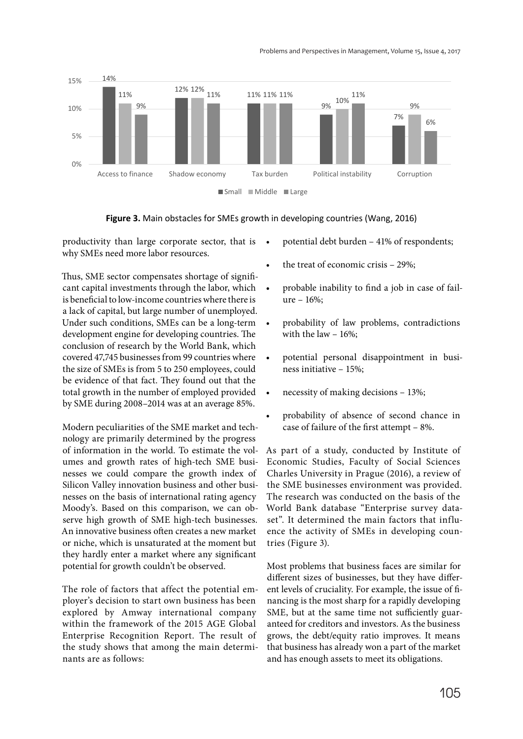

**Figure 3.** Main obstacles for SMEs growth in developing countries (Wang, 2016)

productivity than large corporate sector, that is • why SMEs need more labor resources.

Thus, SME sector compensates shortage of significant capital investments through the labor, which is beneficial to low-income countries where there is a lack of capital, but large number of unemployed. Under such conditions, SMEs can be a long-term development engine for developing countries. The conclusion of research by the World Bank, which covered 47,745 businesses from 99 countries where the size of SMEs is from 5 to 250 employees, could be evidence of that fact. They found out that the total growth in the number of employed provided by SME during 2008–2014 was at an average 85%.

Modern peculiarities of the SME market and technology are primarily determined by the progress of information in the world. To estimate the volumes and growth rates of high-tech SME businesses we could compare the growth index of Silicon Valley innovation business and other businesses on the basis of international rating agency Moody's. Based on this comparison, we can observe high growth of SME high-tech businesses. An innovative business often creates a new market or niche, which is unsaturated at the moment but they hardly enter a market where any significant potential for growth couldn't be observed.

The role of factors that affect the potential employer's decision to start own business has been explored by Amway international company within the framework of the 2015 AGE Global Enterprise Recognition Report. The result of the study shows that among the main determinants are as follows:

- potential debt burden 41% of respondents;
- the treat of economic crisis 29%;
- probable inability to find a job in case of failure – 16%;
- probability of law problems, contradictions with the law – 16%;
- potential personal disappointment in business initiative – 15%;
- necessity of making decisions 13%;
- probability of absence of second chance in case of failure of the first attempt – 8%.

As part of a study, conducted by Institute of Economic Studies, Faculty of Social Sciences Charles University in Prague (2016), a review of the SME businesses environment was provided. The research was conducted on the basis of the World Bank database "Enterprise survey dataset". It determined the main factors that influence the activity of SMEs in developing countries (Figure 3).

Most problems that business faces are similar for different sizes of businesses, but they have different levels of cruciality. For example, the issue of financing is the most sharp for a rapidly developing SME, but at the same time not sufficiently guaranteed for creditors and investors. As the business grows, the debt/equity ratio improves. It means that business has already won a part of the market and has enough assets to meet its obligations.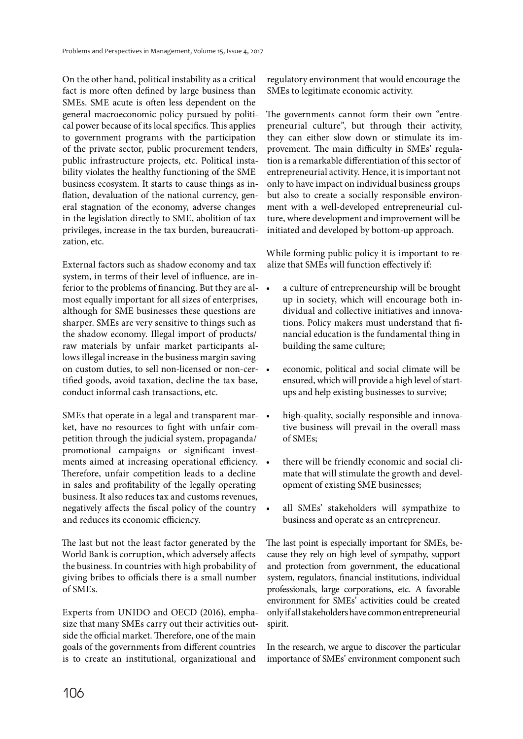On the other hand, political instability as a critical fact is more often defined by large business than SMEs. SME acute is often less dependent on the general macroeconomic policy pursued by political power because of its local specifics. This applies to government programs with the participation of the private sector, public procurement tenders, public infrastructure projects, etc. Political instability violates the healthy functioning of the SME business ecosystem. It starts to cause things as inflation, devaluation of the national currency, general stagnation of the economy, adverse changes in the legislation directly to SME, abolition of tax privileges, increase in the tax burden, bureaucratization, etc.

External factors such as shadow economy and tax system, in terms of their level of influence, are inferior to the problems of financing. But they are almost equally important for all sizes of enterprises, although for SME businesses these questions are sharper. SMEs are very sensitive to things such as the shadow economy. Illegal import of products/ raw materials by unfair market participants allows illegal increase in the business margin saving on custom duties, to sell non-licensed or non-certified goods, avoid taxation, decline the tax base, conduct informal cash transactions, etc.

SMEs that operate in a legal and transparent market, have no resources to fight with unfair competition through the judicial system, propaganda/ promotional campaigns or significant investments aimed at increasing operational efficiency. Therefore, unfair competition leads to a decline in sales and profitability of the legally operating business. It also reduces tax and customs revenues, negatively affects the fiscal policy of the country and reduces its economic efficiency.

The last but not the least factor generated by the World Bank is corruption, which adversely affects the business. In countries with high probability of giving bribes to officials there is a small number of SMEs.

Experts from UNIDO and OECD (2016), emphasize that many SMEs carry out their activities outside the official market. Therefore, one of the main goals of the governments from different countries is to create an institutional, organizational and

regulatory environment that would encourage the SMEs to legitimate economic activity.

The governments cannot form their own "entrepreneurial culture", but through their activity, they can either slow down or stimulate its improvement. The main difficulty in SMEs' regulation is a remarkable differentiation of this sector of entrepreneurial activity. Hence, it is important not only to have impact on individual business groups but also to create a socially responsible environment with a well-developed entrepreneurial culture, where development and improvement will be initiated and developed by bottom-up approach.

While forming public policy it is important to realize that SMEs will function effectively if:

- a culture of entrepreneurship will be brought up in society, which will encourage both individual and collective initiatives and innovations. Policy makers must understand that financial education is the fundamental thing in building the same culture;
- economic, political and social climate will be ensured, which will provide a high level of startups and help existing businesses to survive;
- high-quality, socially responsible and innovative business will prevail in the overall mass of SMEs;
- there will be friendly economic and social climate that will stimulate the growth and development of existing SME businesses;
- all SMEs' stakeholders will sympathize to business and operate as an entrepreneur.

The last point is especially important for SMEs, because they rely on high level of sympathy, support and protection from government, the educational system, regulators, financial institutions, individual professionals, large corporations, etc. A favorable environment for SMEs' activities could be created only if all stakeholders have common entrepreneurial spirit.

In the research, we argue to discover the particular importance of SMEs' environment component such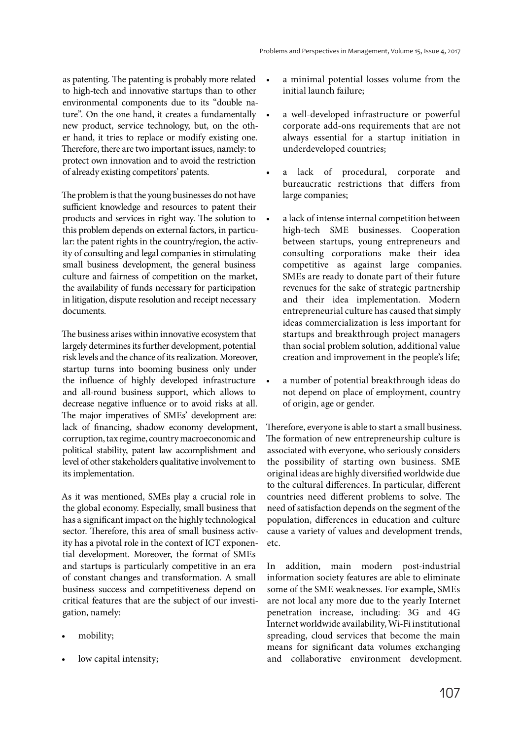as patenting. The patenting is probably more related to high-tech and innovative startups than to other environmental components due to its "double nature". On the one hand, it creates a fundamentally new product, service technology, but, on the other hand, it tries to replace or modify existing one. Therefore, there are two important issues, namely: to protect own innovation and to avoid the restriction of already existing competitors' patents.

The problem is that the young businesses do not have sufficient knowledge and resources to patent their products and services in right way. The solution to this problem depends on external factors, in particular: the patent rights in the country/region, the activity of consulting and legal companies in stimulating small business development, the general business culture and fairness of competition on the market, the availability of funds necessary for participation in litigation, dispute resolution and receipt necessary documents.

The business arises within innovative ecosystem that largely determines its further development, potential risk levels and the chance of its realization. Moreover, startup turns into booming business only under the influence of highly developed infrastructure and all-round business support, which allows to decrease negative influence or to avoid risks at all. The major imperatives of SMEs' development are: lack of financing, shadow economy development, corruption, tax regime, country macroeconomic and political stability, patent law accomplishment and level of other stakeholders qualitative involvement to its implementation.

As it was mentioned, SMEs play a crucial role in the global economy. Especially, small business that has a significant impact on the highly technological sector. Therefore, this area of small business activity has a pivotal role in the context of ICT exponential development. Moreover, the format of SMEs and startups is particularly competitive in an era of constant changes and transformation. A small business success and competitiveness depend on critical features that are the subject of our investigation, namely:

- mobility;
- low capital intensity;
- a minimal potential losses volume from the initial launch failure;
- a well-developed infrastructure or powerful corporate add-ons requirements that are not always essential for a startup initiation in underdeveloped countries;
- a lack of procedural, corporate and bureaucratic restrictions that differs from large companies;
- a lack of intense internal competition between high-tech SME businesses. Cooperation between startups, young entrepreneurs and consulting corporations make their idea competitive as against large companies. SMEs are ready to donate part of their future revenues for the sake of strategic partnership and their idea implementation. Modern entrepreneurial culture has caused that simply ideas commercialization is less important for startups and breakthrough project managers than social problem solution, additional value creation and improvement in the people's life;
- a number of potential breakthrough ideas do not depend on place of employment, country of origin, age or gender.

Therefore, everyone is able to start a small business. The formation of new entrepreneurship culture is associated with everyone, who seriously considers the possibility of starting own business. SME original ideas are highly diversified worldwide due to the cultural differences. In particular, different countries need different problems to solve. The need of satisfaction depends on the segment of the population, differences in education and culture cause a variety of values and development trends, etc.

In addition, main modern post-industrial information society features are able to eliminate some of the SME weaknesses. For example, SMEs are not local any more due to the yearly Internet penetration increase, including: 3G and 4G Internet worldwide availability, Wi-Fi institutional spreading, cloud services that become the main means for significant data volumes exchanging and collaborative environment development.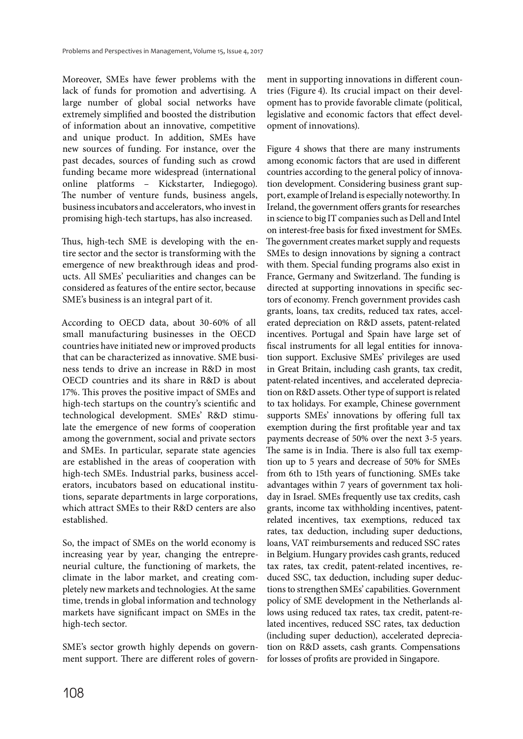Moreover, SMEs have fewer problems with the lack of funds for promotion and advertising. A large number of global social networks have extremely simplified and boosted the distribution of information about an innovative, competitive and unique product. In addition, SMEs have new sources of funding. For instance, over the past decades, sources of funding such as crowd funding became more widespread (international online platforms – Kickstarter, Indiegogo). The number of venture funds, business angels, business incubators and accelerators, who invest in promising high-tech startups, has also increased.

Thus, high-tech SME is developing with the entire sector and the sector is transforming with the emergence of new breakthrough ideas and products. All SMEs' peculiarities and changes can be considered as features of the entire sector, because SME's business is an integral part of it.

According to OECD data, about 30-60% of all small manufacturing businesses in the OECD countries have initiated new or improved products that can be characterized as innovative. SME business tends to drive an increase in R&D in most OECD countries and its share in R&D is about 17%. This proves the positive impact of SMEs and high-tech startups on the country's scientific and technological development. SMEs' R&D stimulate the emergence of new forms of cooperation among the government, social and private sectors and SMEs. In particular, separate state agencies are established in the areas of cooperation with high-tech SMEs. Industrial parks, business accelerators, incubators based on educational institutions, separate departments in large corporations, which attract SMEs to their R&D centers are also established.

So, the impact of SMEs on the world economy is increasing year by year, changing the entrepreneurial culture, the functioning of markets, the climate in the labor market, and creating completely new markets and technologies. At the same time, trends in global information and technology markets have significant impact on SMEs in the high-tech sector.

SME's sector growth highly depends on government support. There are different roles of government in supporting innovations in different countries (Figure 4). Its crucial impact on their development has to provide favorable climate (political, legislative and economic factors that effect development of innovations).

Figure 4 shows that there are many instruments among economic factors that are used in different countries according to the general policy of innovation development. Considering business grant support, example of Ireland is especially noteworthy. In Ireland, the government offers grants for researches in science to big IT companies such as Dell and Intel on interest-free basis for fixed investment for SMEs. The government creates market supply and requests SMEs to design innovations by signing a contract with them. Special funding programs also exist in France, Germany and Switzerland. The funding is directed at supporting innovations in specific sectors of economy. French government provides cash grants, loans, tax credits, reduced tax rates, accelerated depreciation on R&D assets, patent-related incentives. Portugal and Spain have large set of fiscal instruments for all legal entities for innovation support. Exclusive SMEs' privileges are used in Great Britain, including cash grants, tax credit, patent-related incentives, and accelerated depreciation on R&D assets. Other type of support is related to tax holidays. For example, Chinese government supports SMEs' innovations by offering full tax exemption during the first profitable year and tax payments decrease of 50% over the next 3-5 years. The same is in India. There is also full tax exemption up to 5 years and decrease of 50% for SMEs from 6th to 15th years of functioning. SMEs take advantages within 7 years of government tax holiday in Israel. SMEs frequently use tax credits, cash grants, income tax withholding incentives, patentrelated incentives, tax exemptions, reduced tax rates, tax deduction, including super deductions, loans, VAT reimbursements and reduced SSC rates in Belgium. Hungary provides cash grants, reduced tax rates, tax credit, patent-related incentives, reduced SSC, tax deduction, including super deductions to strengthen SMEs' capabilities. Government policy of SME development in the Netherlands allows using reduced tax rates, tax credit, patent-related incentives, reduced SSC rates, tax deduction (including super deduction), accelerated depreciation on R&D assets, cash grants. Compensations for losses of profits are provided in Singapore.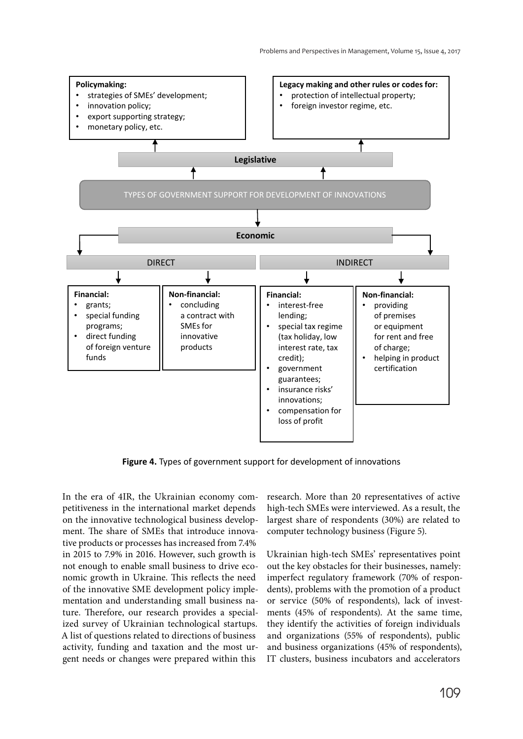

**Figure 4.** Types of government support for development of innovations

In the era of 4IR, the Ukrainian economy competitiveness in the international market depends on the innovative technological business development. The share of SMEs that introduce innovative products or processes has increased from 7.4% in 2015 to 7.9% in 2016. However, such growth is not enough to enable small business to drive economic growth in Ukraine. This reflects the need of the innovative SME development policy implementation and understanding small business nature. Therefore, our research provides a specialized survey of Ukrainian technological startups. A list of questions related to directions of business activity, funding and taxation and the most urgent needs or changes were prepared within this

research. More than 20 representatives of active high-tech SMEs were interviewed. As a result, the largest share of respondents (30%) are related to computer technology business (Figure 5).

Ukrainian high-tech SMEs' representatives point out the key obstacles for their businesses, namely: imperfect regulatory framework (70% of respondents), problems with the promotion of a product or service (50% of respondents), lack of investments (45% of respondents). At the same time, they identify the activities of foreign individuals and organizations (55% of respondents), public and business organizations (45% of respondents), IT clusters, business incubators and accelerators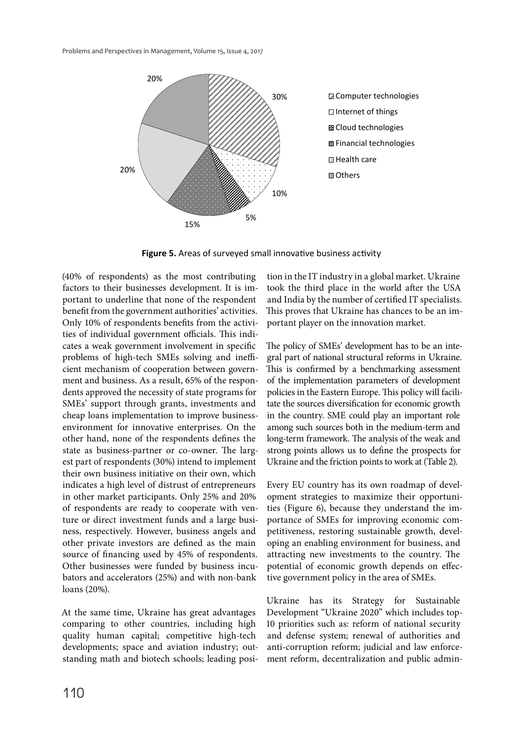

**Figure 5.** Areas of surveyed small innovative business activity

(40% of respondents) as the most contributing factors to their businesses development. It is important to underline that none of the respondent benefit from the government authorities' activities. Only 10% of respondents benefits from the activities of individual government officials. This indicates a weak government involvement in specific problems of high-tech SMEs solving and inefficient mechanism of cooperation between government and business. As a result, 65% of the respondents approved the necessity of state programs for SMEs' support through grants, investments and cheap loans implementation to improve businessenvironment for innovative enterprises. On the other hand, none of the respondents defines the state as business-partner or co-owner. The largest part of respondents (30%) intend to implement their own business initiative on their own, which indicates a high level of distrust of entrepreneurs in other market participants. Only 25% and 20% of respondents are ready to cooperate with venture or direct investment funds and a large business, respectively. However, business angels and other private investors are defined as the main source of financing used by 45% of respondents. Other businesses were funded by business incubators and accelerators (25%) and with non-bank loans (20%).

At the same time, Ukraine has great advantages comparing to other countries, including high quality human capital; competitive high-tech developments; space and aviation industry; outstanding math and biotech schools; leading position in the IT industry in a global market. Ukraine took the third place in the world after the USA and India by the number of certified IT specialists. This proves that Ukraine has chances to be an important player on the innovation market.

The policy of SMEs' development has to be an integral part of national structural reforms in Ukraine. This is confirmed by a benchmarking assessment of the implementation parameters of development policies in the Eastern Europe. This policy will facilitate the sources diversification for economic growth in the country. SME could play an important role among such sources both in the medium-term and long-term framework. The analysis of the weak and strong points allows us to define the prospects for Ukraine and the friction points to work at (Table 2).

Every EU country has its own roadmap of development strategies to maximize their opportunities (Figure 6), because they understand the importance of SMEs for improving economic competitiveness, restoring sustainable growth, developing an enabling environment for business, and attracting new investments to the country. The potential of economic growth depends on effective government policy in the area of SMEs.

Ukraine has its Strategy for Sustainable Development "Ukraine 2020" which includes top-10 priorities such as: reform of national security and defense system; renewal of authorities and anti-corruption reform; judicial and law enforcement reform, decentralization and public admin-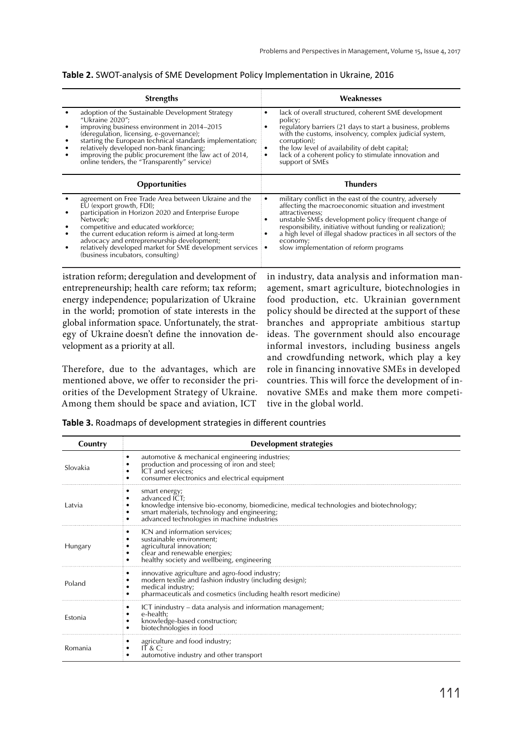| Table 2. SWOT-analysis of SME Development Policy Implementation in Ukraine, 2016 |  |  |  |
|----------------------------------------------------------------------------------|--|--|--|
|----------------------------------------------------------------------------------|--|--|--|

| <b>Strengths</b>                                                                                                                                                                                                                                                                                                                                                                                        | Weaknesses                                                                                                                                                                                                                                                                                                                                                                              |
|---------------------------------------------------------------------------------------------------------------------------------------------------------------------------------------------------------------------------------------------------------------------------------------------------------------------------------------------------------------------------------------------------------|-----------------------------------------------------------------------------------------------------------------------------------------------------------------------------------------------------------------------------------------------------------------------------------------------------------------------------------------------------------------------------------------|
| adoption of the Sustainable Development Strategy<br>"Ukraine 2020";<br>improving business environment in 2014-2015<br>(deregulation, licensing, e-governance);<br>starting the European technical standards implementation;<br>relatively developed non-bank financing;<br>improving the public procurement (the law act of 2014, online tenders, the "Transparently" service)                          | lack of overall structured, coherent SME development<br>٠<br>policy;<br>regulatory barriers (21 days to start a business, problems<br>with the customs, insolvency, complex judicial system,<br>corruption);<br>the low level of availability of debt capital;<br>lack of a coherent policy to stimulate innovation and<br>٠<br>٠<br>support of SMEs                                    |
| <b>Opportunities</b>                                                                                                                                                                                                                                                                                                                                                                                    | <b>Thunders</b>                                                                                                                                                                                                                                                                                                                                                                         |
| agreement on Free Trade Area between Ukraine and the<br>EU (export growth, FDI);<br>participation in Horizon 2020 and Enterprise Europe<br>Network;<br>competitive and educated workforce;<br>the current education reform is aimed at long-term<br>advocacy and entrepreneurship development;<br>relatively developed market for SME development services $\cdot$<br>(business incubators, consulting) | military conflict in the east of the country, adversely<br>٠<br>affecting the macroeconomic situation and investment<br>attractiveness;<br>unstable SME's development policy (frequent change of<br>responsibility, initiative without funding or realization);<br>a high level of illegal shadow practices in all sectors of the<br>economy;<br>slow implementation of reform programs |

istration reform; deregulation and development of entrepreneurship; health care reform; tax reform; energy independence; popularization of Ukraine in the world; promotion of state interests in the global information space. Unfortunately, the strategy of Ukraine doesn't define the innovation development as a priority at all.

Therefore, due to the advantages, which are mentioned above, we offer to reconsider the priorities of the Development Strategy of Ukraine. Among them should be space and aviation, ICT

in industry, data analysis and information management, smart agriculture, biotechnologies in food production, etc. Ukrainian government policy should be directed at the support of these branches and appropriate ambitious startup ideas. The government should also encourage informal investors, including business angels and crowdfunding network, which play a key role in financing innovative SMEs in developed countries. This will force the development of innovative SMEs and make them more competitive in the global world.

**Table 3.** Roadmaps of development strategies in different countries

| Country  | <b>Development strategies</b>                                                                                                                                                                                                    |
|----------|----------------------------------------------------------------------------------------------------------------------------------------------------------------------------------------------------------------------------------|
| Slovakia | automotive & mechanical engineering industries;<br>٠<br>production and processing of iron and steel;<br>ICT and services;<br>consumer electronics and electrical equipment                                                       |
| Latvia   | smart energy;<br>٠<br>advanced ICT;<br>knowledge intensive bio-economy, biomedicine, medical technologies and biotechnology;<br>smart materials, technology and engineering;<br>advanced technologies in machine industries<br>٠ |
| Hungary  | ICN and information services;<br>٠<br>sustainable environment;<br>agricultural innovation;<br>clear and renewable energies;<br>healthy society and wellbeing, engineering                                                        |
| Poland   | innovative agriculture and agro-food industry;<br>٠<br>modern textile and fashion industry (including design);<br>medical industry;<br>pharmaceuticals and cosmetics (including health resort medicine)                          |
| Estonia  | ICT inindustry - data analysis and information management;<br>٠<br>e-health:<br>knowledge-based construction;<br>biotechnologies in food                                                                                         |
| Romania  | agriculture and food industry;<br>IT & C;<br>automotive industry and other transport                                                                                                                                             |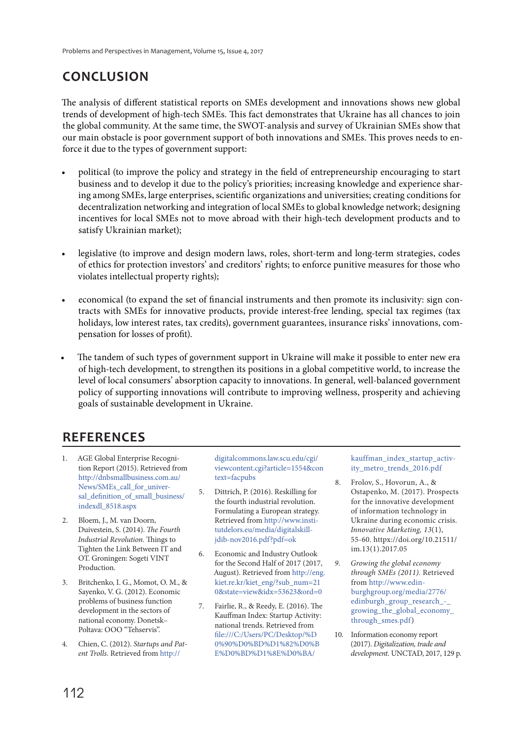# **CONCLUSION**

The analysis of different statistical reports on SMEs development and innovations shows new global trends of development of high-tech SMEs. This fact demonstrates that Ukraine has all chances to join the global community. At the same time, the SWOT-analysis and survey of Ukrainian SMEs show that our main obstacle is poor government support of both innovations and SMEs. This proves needs to enforce it due to the types of government support:

- political (to improve the policy and strategy in the field of entrepreneurship encouraging to start business and to develop it due to the policy's priorities; increasing knowledge and experience sharing among SMEs, large enterprises, scientific organizations and universities; creating conditions for decentralization networking and integration of local SMEs to global knowledge network; designing incentives for local SMEs not to move abroad with their high-tech development products and to satisfy Ukrainian market);
- legislative (to improve and design modern laws, roles, short-term and long-term strategies, codes of ethics for protection investors' and creditors' rights; to enforce punitive measures for those who violates intellectual property rights);
- economical (to expand the set of financial instruments and then promote its inclusivity: sign contracts with SMEs for innovative products, provide interest-free lending, special tax regimes (tax holidays, low interest rates, tax credits), government guarantees, insurance risks' innovations, compensation for losses of profit).
- The tandem of such types of government support in Ukraine will make it possible to enter new era of high-tech development, to strengthen its positions in a global competitive world, to increase the level of local consumers' absorption capacity to innovations. In general, well-balanced government policy of supporting innovations will contribute to improving wellness, prosperity and achieving goals of sustainable development in Ukraine.

# **REFERENCES**

- 1. AGE Global Enterprise Recognition Report (2015). Retrieved from http://dnbsmallbusiness.com.au/ News/SMEs call for universal\_definition\_of\_small\_business/ indexdl\_8518.aspx
- 2. Bloem, J., M. van Doorn, Duivestein, S. (2014). The Fourth Industrial Revolution. Things to Tighten the Link Between IT and OT. Groningen: Sogeti VINT Production.
- 3. Britchenko, I. G., Momot, O. M., & Sayenko, V. G. (2012). Economic problems of business function development in the sectors of national economy. Donetsk– Poltava: OOO "Tehservis".
- 4. Chien, С. (2012). Startups and Patent Trolls. Retrieved from http://

digitalcommons.law.scu.edu/cgi/ viewcontent.cgi?article=1554&con text=facpubs

- 5. Dittrich, P. (2016). Reskilling for the fourth industrial revolution. Formulating a European strategy. Retrieved from http://www.institutdelors.eu/media/digitalskilljdib-nov2016.pdf?pdf=ok
- 6. Economic and Industry Outlook for the Second Half of 2017 (2017, August). Retrieved from http://eng. kiet.re.kr/kiet\_eng/?sub\_num=21 0&state=view&idx=53623&ord=0
- 7. Fairlie, R., & Reedy, E. (2016). The Kauffman Index: Startup Activity: national trends. Retrieved from file:///C:/Users/PC/Desktop/%D 0%90%D0%BD%D1%82%D0%B E%D0%BD%D1%8E%D0%BA/

kauffman\_index\_startup\_activity\_metro\_trends\_2016.pdf

- 8. Frolov, S., Hovorun, A., & Ostapenko, M. (2017). Prospects for the innovative development of information technology in Ukraine during economic crisis. Innovative Marketing, 13(1), 55-60. httpx://doi.org/10.21511/ im.13(1).2017.05
- 9. Growing the global economy through SMEs (2011). Retrieved from http://www.edinburghgroup.org/media/2776/ edinburgh\_group\_research\_growing\_the\_global\_economy\_ through smes.pdf)
- 10. Information economy report (2017). Digitalization, trade and development. UNCTAD, 2017, 129 p.